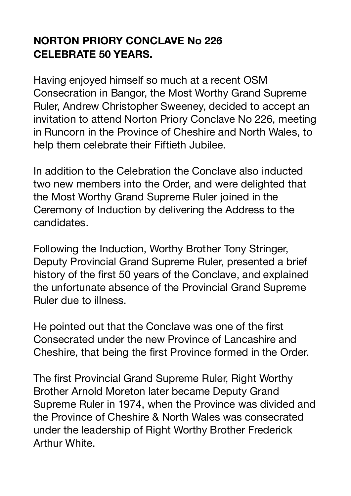## **NORTON PRIORY CONCLAVE No 226 CELEBRATE 50 YEARS.**

Having enjoyed himself so much at a recent OSM Consecration in Bangor, the Most Worthy Grand Supreme Ruler, Andrew Christopher Sweeney, decided to accept an invitation to attend Norton Priory Conclave No 226, meeting in Runcorn in the Province of Cheshire and North Wales, to help them celebrate their Fiftieth Jubilee.

In addition to the Celebration the Conclave also inducted two new members into the Order, and were delighted that the Most Worthy Grand Supreme Ruler joined in the Ceremony of Induction by delivering the Address to the candidates.

Following the Induction, Worthy Brother Tony Stringer, Deputy Provincial Grand Supreme Ruler, presented a brief history of the first 50 years of the Conclave, and explained the unfortunate absence of the Provincial Grand Supreme Ruler due to illness.

He pointed out that the Conclave was one of the first Consecrated under the new Province of Lancashire and Cheshire, that being the first Province formed in the Order.

The first Provincial Grand Supreme Ruler, Right Worthy Brother Arnold Moreton later became Deputy Grand Supreme Ruler in 1974, when the Province was divided and the Province of Cheshire & North Wales was consecrated under the leadership of Right Worthy Brother Frederick Arthur White.